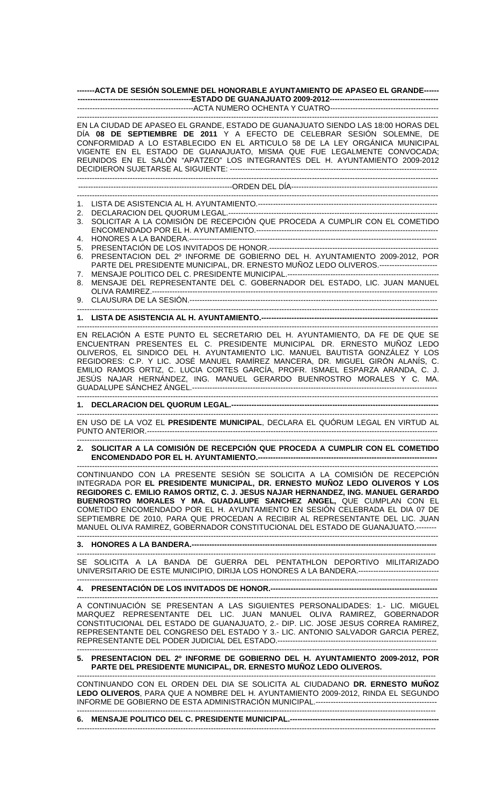**-------ACTA DE SESIÓN SOLEMNE DEL HONORABLE AYUNTAMIENTO DE APASEO EL GRANDE------ ---------------------------------------------ESTADO DE GUANAJUATO 2009-2012-------------------------------------------**  ----------------------------------------------ACTA NUMERO OCHENTA Y CUATRO-------------------------------------------

# -----------------------------------------------------------------------------------------------------------------------------------------------

EN LA CIUDAD DE APASEO EL GRANDE, ESTADO DE GUANAJUATO SIENDO LAS 18:00 HORAS DEL DÍA **08 DE SEPTIEMBRE DE 2011** Y A EFECTO DE CELEBRAR SESIÓN SOLEMNE, DE CONFORMIDAD A LO ESTABLECIDO EN EL ARTICULO 58 DE LA LEY ORGÁNICA MUNICIPAL VIGENTE EN EL ESTADO DE GUANAJUATO, MISMA QUE FUE LEGALMENTE CONVOCADA; REUNIDOS EN EL SALÓN "APATZEO" LOS INTEGRANTES DEL H. AYUNTAMIENTO 2009-2012 DECIDIERON SUJETARSE AL SIGUIENTE: ---------------------------------------------------------------------------------- -----------------------------------------------------------------------------------------------------------------------------------------------

# -------------------------------------------------------------ORDEN DEL DÍA----------------------------------------------------------

- ----------------------------------------------------------------------------------------------------------------------------------------------- 1. LISTA DE ASISTENCIA AL H. AYUNTAMIENTO.-----------------------------------------------------------------------
- 2. DECLARACION DEL QUORUM LEGAL.---
- 3. SOLICITAR A LA COMISIÓN DE RECEPCIÓN QUE PROCEDA A CUMPLIR CON EL COMETIDO ENCOMENDADO POR EL H. AYUNTAMIENTO.------------------------------------------------------------------------
- 4. HONORES A LA BANDERA.--------------------------------------------------------------------------------------------------
- 5. PRESENTACIÓN DE LOS INVITADOS DE HONOR.-------------------------------------------------------------------
- 6. PRESENTACION DEL 2º INFORME DE GOBIERNO DEL H. AYUNTAMIENTO 2009-2012, POR PARTE DEL PRESIDENTE MUNICIPAL, DR. ERNESTO MUÑOZ LEDO OLIVEROS.-----------------------
- 7. MENSAJE POLITICO DEL C. PRESIDENTE MUNICIPAL.--------8. MENSAJE DEL REPRESENTANTE DEL C. GOBERNADOR DEL ESTADO, LIC. JUAN MANUEL OLIVA RAMIREZ.-----------------------------------------------------------------------------------------------------------------
- 9. CLAUSURA DE LA SESIÓN.-------------------------------------------------------------------------------------------------- -----------------------------------------------------------------------------------------------------------------------------------------------

## **1. LISTA DE ASISTENCIA AL H. AYUNTAMIENTO.----------------------------------------------------------------------**

EN RELACIÓN A ESTE PUNTO EL SECRETARIO DEL H. AYUNTAMIENTO, DA FE DE QUE SE ENCUENTRAN PRESENTES EL C. PRESIDENTE MUNICIPAL DR. ERNESTO MUÑOZ LEDO OLIVEROS, EL SINDICO DEL H. AYUNTAMIENTO LIC. MANUEL BAUTISTA GONZÁLEZ Y LOS REGIDORES: C.P. Y LIC. JOSÉ MANUEL RAMÍREZ MANCERA, DR. MIGUEL GIRÓN ALANÍS, C. EMILIO RAMOS ORTIZ, C. LUCIA CORTES GARCÍA, PROFR. ISMAEL ESPARZA ARANDA, C. J. JESÚS NAJAR HERNÁNDEZ, ING. MANUEL GERARDO BUENROSTRO MORALES Y C. MA. GUADALUPE SÁNCHEZ ÁNGEL.-------------------------------------------------------------------------------------------------

-----------------------------------------------------------------------------------------------------------------------------------------------

-----------------------------------------------------------------------------------------------------------------------------------------------

-----------------------------------------------------------------------------------------------------------------------------------------------

## **1. DECLARACION DEL QUORUM LEGAL.----------------------------------------------------------------------------------**

----------------------------------------------------------------------------------------------------------------------------------------------- EN USO DE LA VOZ EL **PRESIDENTE MUNICIPAL**, DECLARA EL QUÓRUM LEGAL EN VIRTUD AL PUNTO ANTERIOR.-------------------------------------------------------------------------------------------------------------------

-----------------------------------------------------------------------------------------------------------------------------------------------

----------------------------------------------------------------------------------------------------------------------------------------------- **2. SOLICITAR A LA COMISIÓN DE RECEPCIÓN QUE PROCEDA A CUMPLIR CON EL COMETIDO ENCOMENDADO POR EL H. AYUNTAMIENTO.-----**

CONTINUANDO CON LA PRESENTE SESIÓN SE SOLICITA A LA COMISIÓN DE RECEPCIÓN INTEGRADA POR **EL PRESIDENTE MUNICIPAL, DR. ERNESTO MUÑOZ LEDO OLIVEROS Y LOS REGIDORES C. EMILIO RAMOS ORTIZ, C. J. JESUS NAJAR HERNANDEZ, ING. MANUEL GERARDO BUENROSTRO MORALES Y MA. GUADALUPE SANCHEZ ANGEL,** QUE CUMPLAN CON EL COMETIDO ENCOMENDADO POR EL H. AYUNTAMIENTO EN SESIÓN CELEBRADA EL DIA 07 DE SEPTIEMBRE DE 2010, PARA QUE PROCEDAN A RECIBIR AL REPRESENTANTE DEL LIC. JUAN MANUEL OLIVA RAMIREZ, GOBERNADOR CONSTITUCIONAL DEL ESTADO DE GUANAJUATO.--------

**3. HONORES A LA BANDERA.-------------------------------------------------------------------------------------------------** 

---------------------------------------------------------------------------------------------------------------------------------------------- SE SOLICITA A LA BANDA DE GUERRA DEL PENTATHLON DEPORTIVO MILITARIZADO UNIVERSITARIO DE ESTE MUNICIPIO, DIRIJA LOS HONORES A LA BANDERA.--------------------------------

#### ----------------------------------------------------------------------------------------------------------------------------------------------- **4. PRESENTACIÓN DE LOS INVITADOS DE HONOR.------------------------------------------------------------------**

----------------------------------------------------------------------------------------------------------------------------------------------- A CONTINUACIÓN SE PRESENTAN A LAS SIGUIENTES PERSONALIDADES: 1.- LIC. MIGUEL MARQUEZ REPRESENTANTE DEL LIC. JUAN MANUEL OLIVA RAMIREZ, GOBERNADOR CONSTITUCIONAL DEL ESTADO DE GUANAJUATO, 2.- DIP. LIC. JOSE JESUS CORREA RAMIREZ, REPRESENTANTE DEL CONGRESO DEL ESTADO Y 3.- LIC. ANTONIO SALVADOR GARCIA PEREZ, REPRESENTANTE DEL PODER JUDICIAL DEL ESTADO.--------------------------------------------------------------- -----------------------------------------------------------------------------------------------------------------------------------------------

# **5. PRESENTACION DEL 2º INFORME DE GOBIERNO DEL H. AYUNTAMIENTO 2009-2012, POR PARTE DEL PRESIDENTE MUNICIPAL, DR. ERNESTO MUÑOZ LEDO OLIVEROS.**

---------------------------------------------------------------------------------------------------------------------------------------------- CONTINUANDO CON EL ORDEN DEL DIA SE SOLICITA AL CIUDADANO **DR. ERNESTO MUÑOZ LEDO OLIVEROS**, PARA QUE A NOMBRE DEL H. AYUNTAMIENTO 2009-2012, RINDA EL SEGUNDO INFORME DE GOBIERNO DE ESTA ADMINISTRACIÓN MUNICIPAL.------------------------------------------------ ----------------------------------------------------------------------------------------------------------------------------------------------

**6. MENSAJE POLITICO DEL C. PRESIDENTE MUNICIPAL.-----------------------------------------------------------**  ----------------------------------------------------------------------------------------------------------------------------------------------